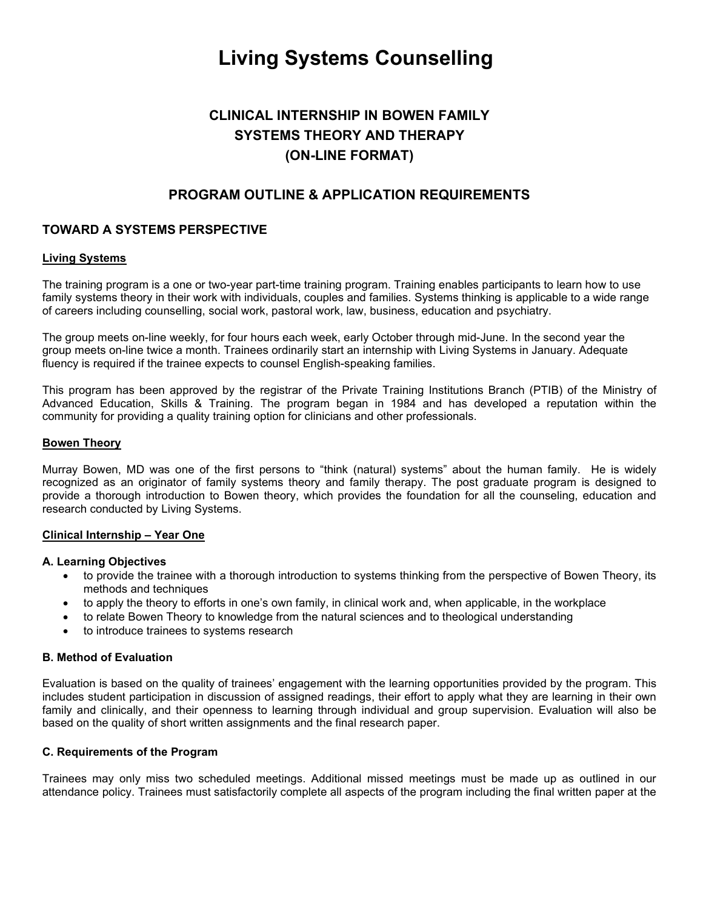# Living Systems Counselling

# CLINICAL INTERNSHIP IN BOWEN FAMILY SYSTEMS THEORY AND THERAPY (ON-LINE FORMAT)

## PROGRAM OUTLINE & APPLICATION REQUIREMENTS

### TOWARD A SYSTEMS PERSPECTIVE

#### Living Systems

The training program is a one or two-year part-time training program. Training enables participants to learn how to use family systems theory in their work with individuals, couples and families. Systems thinking is applicable to a wide range of careers including counselling, social work, pastoral work, law, business, education and psychiatry.

The group meets on-line weekly, for four hours each week, early October through mid-June. In the second year the group meets on-line twice a month. Trainees ordinarily start an internship with Living Systems in January. Adequate fluency is required if the trainee expects to counsel English-speaking families.

This program has been approved by the registrar of the Private Training Institutions Branch (PTIB) of the Ministry of Advanced Education, Skills & Training. The program began in 1984 and has developed a reputation within the community for providing a quality training option for clinicians and other professionals.

#### Bowen Theory

Murray Bowen, MD was one of the first persons to "think (natural) systems" about the human family. He is widely recognized as an originator of family systems theory and family therapy. The post graduate program is designed to provide a thorough introduction to Bowen theory, which provides the foundation for all the counseling, education and research conducted by Living Systems.

#### Clinical Internship – Year One

#### A. Learning Objectives

- to provide the trainee with a thorough introduction to systems thinking from the perspective of Bowen Theory, its methods and techniques
- to apply the theory to efforts in one's own family, in clinical work and, when applicable, in the workplace
- to relate Bowen Theory to knowledge from the natural sciences and to theological understanding
- to introduce trainees to systems research

#### B. Method of Evaluation

Evaluation is based on the quality of trainees' engagement with the learning opportunities provided by the program. This includes student participation in discussion of assigned readings, their effort to apply what they are learning in their own family and clinically, and their openness to learning through individual and group supervision. Evaluation will also be based on the quality of short written assignments and the final research paper.

#### C. Requirements of the Program

Trainees may only miss two scheduled meetings. Additional missed meetings must be made up as outlined in our attendance policy. Trainees must satisfactorily complete all aspects of the program including the final written paper at the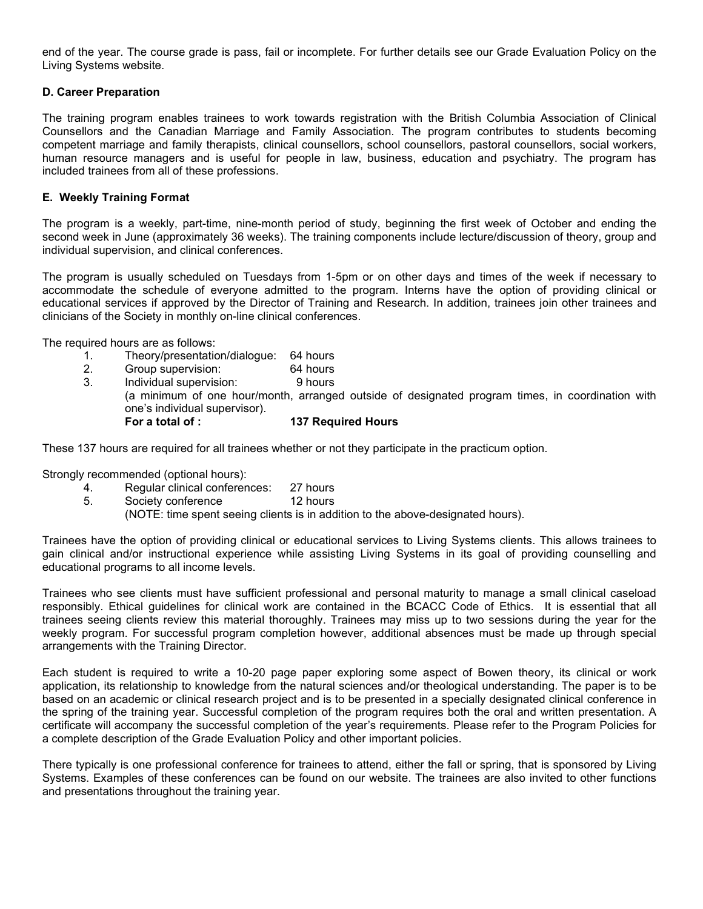end of the year. The course grade is pass, fail or incomplete. For further details see our Grade Evaluation Policy on the Living Systems website.

#### D. Career Preparation

The training program enables trainees to work towards registration with the British Columbia Association of Clinical Counsellors and the Canadian Marriage and Family Association. The program contributes to students becoming competent marriage and family therapists, clinical counsellors, school counsellors, pastoral counsellors, social workers, human resource managers and is useful for people in law, business, education and psychiatry. The program has included trainees from all of these professions.

#### E. Weekly Training Format

The program is a weekly, part-time, nine-month period of study, beginning the first week of October and ending the second week in June (approximately 36 weeks). The training components include lecture/discussion of theory, group and individual supervision, and clinical conferences.

The program is usually scheduled on Tuesdays from 1-5pm or on other days and times of the week if necessary to accommodate the schedule of everyone admitted to the program. Interns have the option of providing clinical or educational services if approved by the Director of Training and Research. In addition, trainees join other trainees and clinicians of the Society in monthly on-line clinical conferences.

The required hours are as follows:

- 1. Theory/presentation/dialogue: 64 hours
- 2. Group supervision: 64 hours
- 3. Individual supervision: 9 hours (a minimum of one hour/month, arranged outside of designated program times, in coordination with one's individual supervisor). For a total of : 137 Required Hours

These 137 hours are required for all trainees whether or not they participate in the practicum option.

Strongly recommended (optional hours):

- 4. Regular clinical conferences: 27 hours
- 5. Society conference 12 hours

(NOTE: time spent seeing clients is in addition to the above-designated hours).

Trainees have the option of providing clinical or educational services to Living Systems clients. This allows trainees to gain clinical and/or instructional experience while assisting Living Systems in its goal of providing counselling and educational programs to all income levels.

Trainees who see clients must have sufficient professional and personal maturity to manage a small clinical caseload responsibly. Ethical guidelines for clinical work are contained in the BCACC Code of Ethics. It is essential that all trainees seeing clients review this material thoroughly. Trainees may miss up to two sessions during the year for the weekly program. For successful program completion however, additional absences must be made up through special arrangements with the Training Director.

Each student is required to write a 10-20 page paper exploring some aspect of Bowen theory, its clinical or work application, its relationship to knowledge from the natural sciences and/or theological understanding. The paper is to be based on an academic or clinical research project and is to be presented in a specially designated clinical conference in the spring of the training year. Successful completion of the program requires both the oral and written presentation. A certificate will accompany the successful completion of the year's requirements. Please refer to the Program Policies for a complete description of the Grade Evaluation Policy and other important policies.

There typically is one professional conference for trainees to attend, either the fall or spring, that is sponsored by Living Systems. Examples of these conferences can be found on our website. The trainees are also invited to other functions and presentations throughout the training year.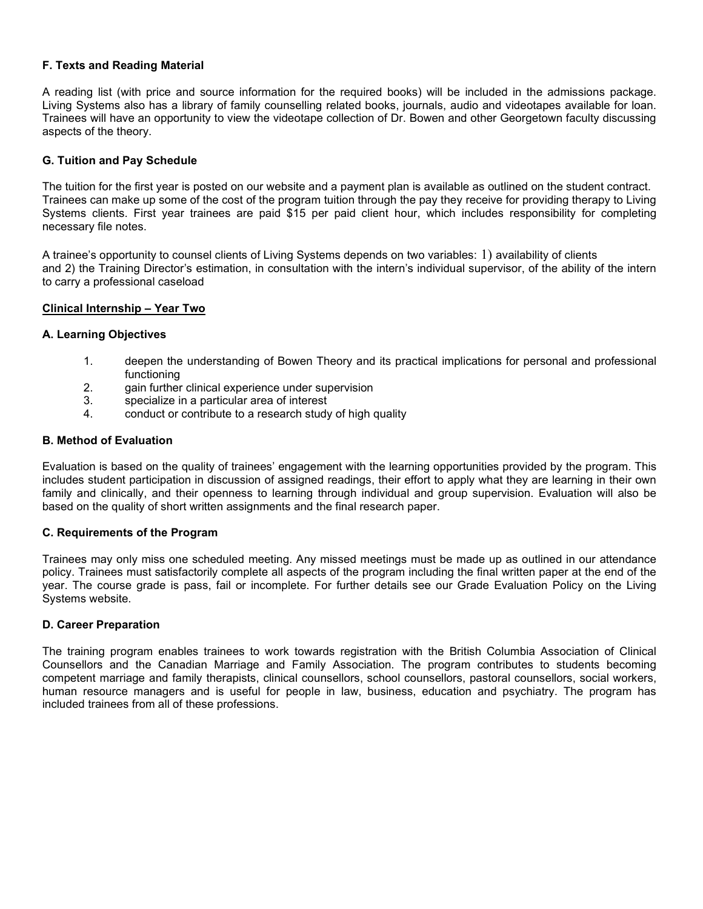#### F. Texts and Reading Material

A reading list (with price and source information for the required books) will be included in the admissions package. Living Systems also has a library of family counselling related books, journals, audio and videotapes available for loan. Trainees will have an opportunity to view the videotape collection of Dr. Bowen and other Georgetown faculty discussing aspects of the theory.

#### G. Tuition and Pay Schedule

The tuition for the first year is posted on our website and a payment plan is available as outlined on the student contract. Trainees can make up some of the cost of the program tuition through the pay they receive for providing therapy to Living Systems clients. First year trainees are paid \$15 per paid client hour, which includes responsibility for completing necessary file notes.

A trainee's opportunity to counsel clients of Living Systems depends on two variables: 1) availability of clients and 2) the Training Director's estimation, in consultation with the intern's individual supervisor, of the ability of the intern to carry a professional caseload

#### Clinical Internship – Year Two

#### A. Learning Objectives

- 1. deepen the understanding of Bowen Theory and its practical implications for personal and professional functioning
- 2. gain further clinical experience under supervision
- 3. specialize in a particular area of interest
- 4. conduct or contribute to a research study of high quality

#### B. Method of Evaluation

Evaluation is based on the quality of trainees' engagement with the learning opportunities provided by the program. This includes student participation in discussion of assigned readings, their effort to apply what they are learning in their own family and clinically, and their openness to learning through individual and group supervision. Evaluation will also be based on the quality of short written assignments and the final research paper.

#### C. Requirements of the Program

Trainees may only miss one scheduled meeting. Any missed meetings must be made up as outlined in our attendance policy. Trainees must satisfactorily complete all aspects of the program including the final written paper at the end of the year. The course grade is pass, fail or incomplete. For further details see our Grade Evaluation Policy on the Living Systems website.

#### D. Career Preparation

The training program enables trainees to work towards registration with the British Columbia Association of Clinical Counsellors and the Canadian Marriage and Family Association. The program contributes to students becoming competent marriage and family therapists, clinical counsellors, school counsellors, pastoral counsellors, social workers, human resource managers and is useful for people in law, business, education and psychiatry. The program has included trainees from all of these professions.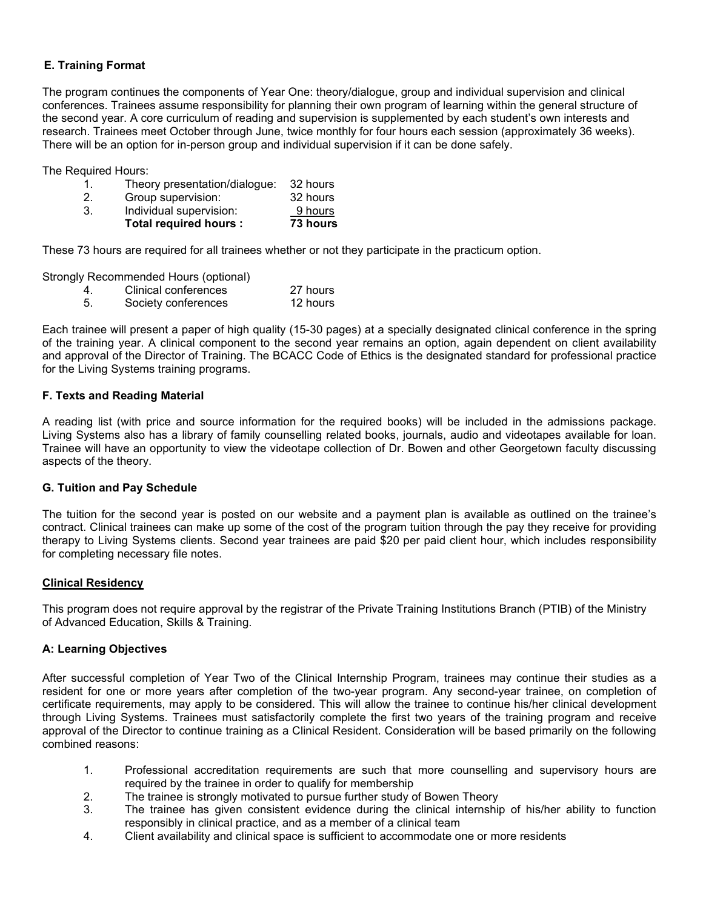#### E. Training Format

The program continues the components of Year One: theory/dialogue, group and individual supervision and clinical conferences. Trainees assume responsibility for planning their own program of learning within the general structure of the second year. A core curriculum of reading and supervision is supplemented by each student's own interests and research. Trainees meet October through June, twice monthly for four hours each session (approximately 36 weeks). There will be an option for in-person group and individual supervision if it can be done safely.

The Required Hours:

|    | Theory presentation/dialogue: | - 32 hours |
|----|-------------------------------|------------|
|    | Group supervision:            | 32 hours   |
| 3. | Individual supervision:       | 9 hours    |
|    | Total required hours :        | 73 hours   |

These 73 hours are required for all trainees whether or not they participate in the practicum option.

Strongly Recommended Hours (optional)

|  | Clinical conferences | 27 hours |
|--|----------------------|----------|
|--|----------------------|----------|

5. Society conferences 12 hours

Each trainee will present a paper of high quality (15-30 pages) at a specially designated clinical conference in the spring of the training year. A clinical component to the second year remains an option, again dependent on client availability and approval of the Director of Training. The BCACC Code of Ethics is the designated standard for professional practice for the Living Systems training programs.

#### F. Texts and Reading Material

A reading list (with price and source information for the required books) will be included in the admissions package. Living Systems also has a library of family counselling related books, journals, audio and videotapes available for loan. Trainee will have an opportunity to view the videotape collection of Dr. Bowen and other Georgetown faculty discussing aspects of the theory.

#### G. Tuition and Pay Schedule

The tuition for the second year is posted on our website and a payment plan is available as outlined on the trainee's contract. Clinical trainees can make up some of the cost of the program tuition through the pay they receive for providing therapy to Living Systems clients. Second year trainees are paid \$20 per paid client hour, which includes responsibility for completing necessary file notes.

#### Clinical Residency

This program does not require approval by the registrar of the Private Training Institutions Branch (PTIB) of the Ministry of Advanced Education, Skills & Training.

#### A: Learning Objectives

After successful completion of Year Two of the Clinical Internship Program, trainees may continue their studies as a resident for one or more years after completion of the two-year program. Any second-year trainee, on completion of certificate requirements, may apply to be considered. This will allow the trainee to continue his/her clinical development through Living Systems. Trainees must satisfactorily complete the first two years of the training program and receive approval of the Director to continue training as a Clinical Resident. Consideration will be based primarily on the following combined reasons:

- 1. Professional accreditation requirements are such that more counselling and supervisory hours are required by the trainee in order to qualify for membership
- 2. The trainee is strongly motivated to pursue further study of Bowen Theory
- 3. The trainee has given consistent evidence during the clinical internship of his/her ability to function responsibly in clinical practice, and as a member of a clinical team
- 4. Client availability and clinical space is sufficient to accommodate one or more residents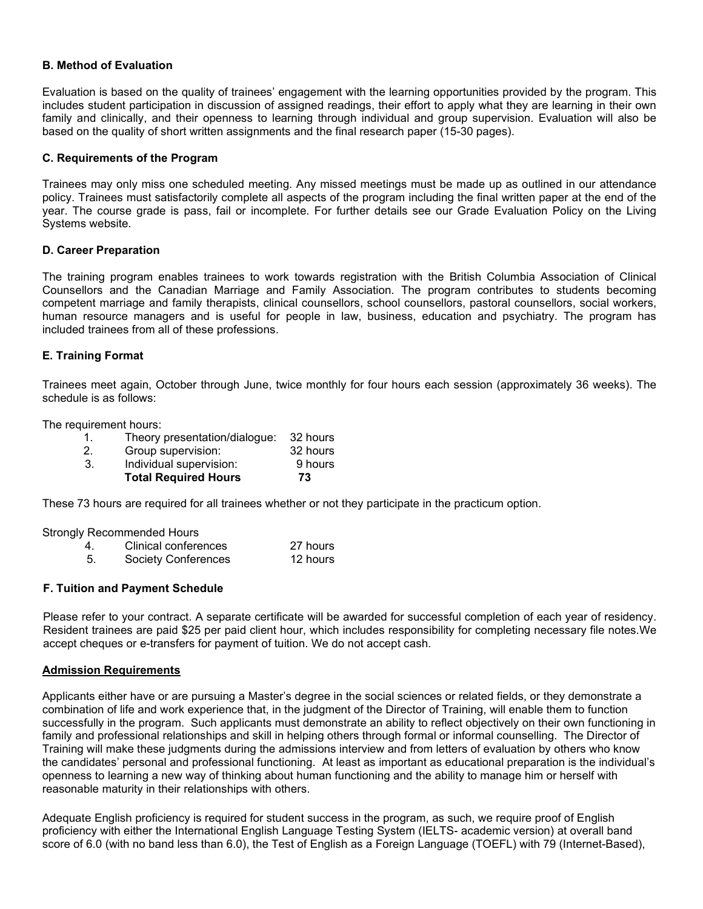#### B. Method of Evaluation

Evaluation is based on the quality of trainees' engagement with the learning opportunities provided by the program. This includes student participation in discussion of assigned readings, their effort to apply what they are learning in their own family and clinically, and their openness to learning through individual and group supervision. Evaluation will also be based on the quality of short written assignments and the final research paper (15-30 pages).

#### C. Requirements of the Program

Trainees may only miss one scheduled meeting. Any missed meetings must be made up as outlined in our attendance policy. Trainees must satisfactorily complete all aspects of the program including the final written paper at the end of the year. The course grade is pass, fail or incomplete. For further details see our Grade Evaluation Policy on the Living Systems website.

#### D. Career Preparation

The training program enables trainees to work towards registration with the British Columbia Association of Clinical Counsellors and the Canadian Marriage and Family Association. The program contributes to students becoming competent marriage and family therapists, clinical counsellors, school counsellors, pastoral counsellors, social workers, human resource managers and is useful for people in law, business, education and psychiatry. The program has included trainees from all of these professions.

#### E. Training Format

Trainees meet again, October through June, twice monthly for four hours each session (approximately 36 weeks). The schedule is as follows:

The requirement hours:

|    | <b>Total Required Hours</b>   | 73       |
|----|-------------------------------|----------|
| 3. | Individual supervision:       | 9 hours  |
|    | Group supervision:            | 32 hours |
|    | Theory presentation/dialogue: | 32 hours |

These 73 hours are required for all trainees whether or not they participate in the practicum option.

Strongly Recommended Hours

| Clinical conferences       | 27 hours |
|----------------------------|----------|
| <b>Society Conferences</b> | 12 hours |

#### F. Tuition and Payment Schedule

Please refer to your contract. A separate certificate will be awarded for successful completion of each year of residency. Resident trainees are paid \$25 per paid client hour, which includes responsibility for completing necessary file notes.We accept cheques or e-transfers for payment of tuition. We do not accept cash.

#### Admission Requirements

Applicants either have or are pursuing a Master's degree in the social sciences or related fields, or they demonstrate a combination of life and work experience that, in the judgment of the Director of Training, will enable them to function successfully in the program. Such applicants must demonstrate an ability to reflect objectively on their own functioning in family and professional relationships and skill in helping others through formal or informal counselling. The Director of Training will make these judgments during the admissions interview and from letters of evaluation by others who know the candidates' personal and professional functioning. At least as important as educational preparation is the individual's openness to learning a new way of thinking about human functioning and the ability to manage him or herself with reasonable maturity in their relationships with others.

Adequate English proficiency is required for student success in the program, as such, we require proof of English proficiency with either the International English Language Testing System (IELTS- academic version) at overall band score of 6.0 (with no band less than 6.0), the Test of English as a Foreign Language (TOEFL) with 79 (Internet-Based),